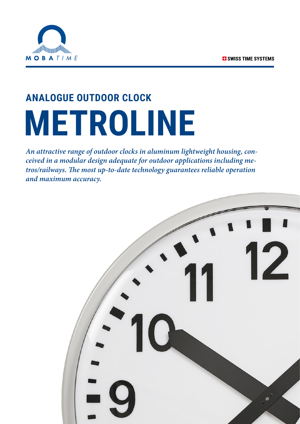

# **ANALOGUE OUTDOOR CLOCK METROLINE**

*An attractive range of outdoor clocks in aluminum lightweight housing, conceived in a modular design adequate for outdoor applications including metros/railways. The most up-to-date technology guarantees reliable operation and maximum accuracy.*

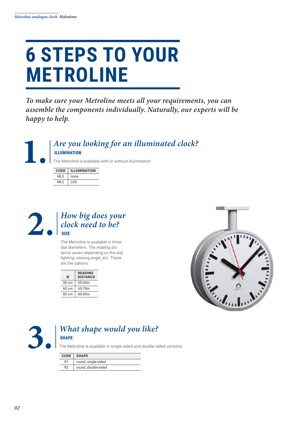### **6 STEPS TO YOUR METROLINE**

*To make sure your Metroline meets all your requirements, you can assemble the components individually. Naturally, our experts will be happy to help.*



| <b>CODE</b> | <b>ILLUMINATION</b> |  |  |
|-------------|---------------------|--|--|
| ML0         | none                |  |  |
| MI 2        | I FD                |  |  |



### **2. a 12. 12. 12. 12. 12. 12. 12. 12. 12. 12. 12. 12. 12. 12. 12. 12. 12. 12. 12. 12. 12. 12. 12. 12. 12. 12. 12. 12. 12. 12. 12. 12. 12. 12. 12. 12** *clock need to be?*  **SIZE**

The Metroline is available in three dial diameters. The reading distance varies depending on the dial, lighting, viewing angle, etc. These are the options:

| Ø               | <b>READING</b><br><b>DISTANCE</b> |
|-----------------|-----------------------------------|
| $50 \text{ cm}$ | 55-60m                            |
| 60 cm           | 65-70m                            |
| 80 cm           | 85-90m                            |
|                 |                                   |





#### **3.** *What shape would you like?*  **SHAPE**

The Metroline is available in single-sided and double-sided versions:

|    | CODE SHAPE          |  |  |
|----|---------------------|--|--|
| R1 | round, single-sided |  |  |
| R2 | round, double-sided |  |  |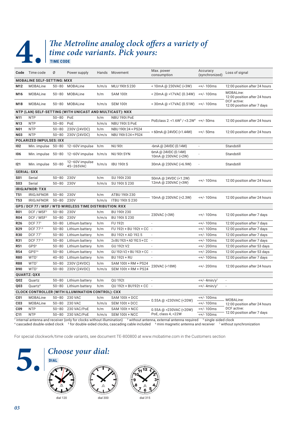**TIME CODE** 

### **4. The Metroline analog clock offers a variety of<br>
<b>4.** TIME CODE<br> **1.** TIME CODE *time code variants. Pick yours:*

| Code            | Time code                         | Ø         | Power supply                                             |       | Hands Movement                                    | Max. power<br>consumption                                                                                                                        | Accuracy<br>(synchronized)           | Loss of signal                             |  |
|-----------------|-----------------------------------|-----------|----------------------------------------------------------|-------|---------------------------------------------------|--------------------------------------------------------------------------------------------------------------------------------------------------|--------------------------------------|--------------------------------------------|--|
|                 | <b>MOBALINE SELF-SETTING: MXX</b> |           |                                                          |       |                                                   |                                                                                                                                                  |                                      |                                            |  |
| M12             | MOBALine                          | $50 - 80$ | MOBALine                                                 | h/m/s | MLU 190t S 230                                    | < 10mA @ 230VAC (<3W)                                                                                                                            | <+/-100ms                            | 12:00 position after 24 hours              |  |
| M16             | <b>MOBALine</b>                   | $50 - 80$ | MOBALine                                                 | h/m   | <b>SAM 100t</b>                                   | < 20mA @ >17VAC (0.34W)                                                                                                                          | $< +/- 100$ ms                       | MOBALine:<br>12:00 position after 24 hours |  |
| M18             | <b>MOBALine</b>                   | $50 - 80$ | MOBALine                                                 | h/m/s | <b>SEM 100t</b><br>< 30 m A @ > 17 V A C (0.51 W) |                                                                                                                                                  | <+/-100ms                            | DCF active:<br>12:00 position after 7 days |  |
|                 |                                   |           | NTP (LAN) SELF-SETTING (WITH UNICAST AND MULTICAST): NXX |       |                                                   |                                                                                                                                                  |                                      |                                            |  |
| N11             | <b>NTP</b>                        | $50 - 80$ | PoE                                                      | h/m   | NBU 190t PoE                                      | PoEclass 2: <1.6W <sup>3</sup> / <3.2W <sup>4</sup> <+/- 50ms                                                                                    |                                      | 12:00 position after 24 hours              |  |
| N <sub>13</sub> | <b>NTP</b>                        | $50 - 80$ | PoE                                                      | h/m/s | NBU 190t S PoE                                    |                                                                                                                                                  |                                      |                                            |  |
| N01             | <b>NTP</b>                        | $50 - 80$ | 230V (24VDC)                                             | h/m   | NBU 190t 24 + PS24                                | < 60mA @ 24VDC (<1.44W)                                                                                                                          | <+/- 50ms                            | 12:00 position after 24 hours              |  |
| <b>N03</b>      | <b>NTP</b>                        | $50 - 80$ | 230V (24VDC)                                             | h/m/s | NBU 190t S 24 + PS24                              |                                                                                                                                                  |                                      |                                            |  |
|                 | <b>POLARIZED IMPULSES: IXX</b>    |           |                                                          |       |                                                   |                                                                                                                                                  |                                      |                                            |  |
| 102             | Min. impulse 50-80                |           | 12-60V impulse                                           | h/m   | <b>NU 90t</b>                                     | $-6mA$ @ 24VDC (0.14W)                                                                                                                           | $\sim$                               | Standstill                                 |  |
| 106             | Min. impulse                      | $50 - 80$ | 12-60V impulse                                           | h/m/s | NU 90t SYN                                        | 6mA @ 24VDC (0.14W)<br>10mA @ 230VAC (<2W)                                                                                                       |                                      | Standstill                                 |  |
| 121             | Min. impulse 50-80                |           | 12-60V impulse<br>45-265VAC                              | h/m/s | <b>IBU 190t S</b>                                 | 30mA @ 230VAC (<6.9W)                                                                                                                            |                                      | Standstill                                 |  |
|                 | <b>SERIAL: SXX</b>                |           |                                                          |       |                                                   |                                                                                                                                                  |                                      |                                            |  |
| <b>S01</b>      | Serial                            | $50 - 80$ | 230V                                                     | h/m   | SU 190t 230                                       | 50mA @ 24VDC (<1.2W)                                                                                                                             |                                      |                                            |  |
| <b>S03</b>      | Serial                            | $50 - 80$ | 230V                                                     | h/m/s | SU 190t S 230                                     | 12mA @ 230VAC (<3W)                                                                                                                              | <+/-100ms                            | 12:00 position after 24 hours              |  |
|                 | <b>IRIG/AFNOR: TXX</b>            |           |                                                          |       |                                                   |                                                                                                                                                  |                                      |                                            |  |
| <b>T51</b>      | IRIG/AFNOR                        | $50 - 80$ | 230V                                                     | h/m   | ATBU 190t 230                                     |                                                                                                                                                  | <+/-100ms                            |                                            |  |
| T53             | IRIG/AFNOR                        | $50 - 80$ | 230V                                                     | h/m/s | <b>ITBU 190t S 230</b>                            | 10mA @ 230VAC (<2.3W)                                                                                                                            |                                      | 12:00 position after 24 hours              |  |
|                 |                                   |           | GPS / DCF 77 / MSF / WTD WIRELESS TIME DISTRIBUTION: RXX |       |                                                   |                                                                                                                                                  |                                      |                                            |  |
| <b>R01</b>      | DCF / MSF <sup>2</sup>            | $50 - 80$ | 230V                                                     | h/m   | BU 190t 230                                       | 230VAC (<3W)                                                                                                                                     | <+/-100ms                            |                                            |  |
| <b>R04</b>      | DCF / MSF <sup>2</sup>            | $50 - 80$ | 230V                                                     | h/m/s | BU 190t S 230                                     |                                                                                                                                                  |                                      | 12:00 position after 7 days                |  |
| R <sub>26</sub> | DCF 771                           | $50 - 80$ | Lithium battery                                          | h/m   | <b>FU 192t</b>                                    |                                                                                                                                                  | <+/-100ms                            | 12:00 position after 7 days                |  |
| <b>R29</b>      | DCF 771,5                         | $50 - 80$ | Lithium battery                                          | h/m   | FU 192t + BU 192t + CC -                          |                                                                                                                                                  | <+/-100ms                            | 12:00 position after 7 days                |  |
| R30             | DCF 771                           | $50 - 80$ | Lithium battery                                          | h/m   | BU 192t + AD 192.5                                | $\overline{\phantom{a}}$                                                                                                                         | <+/-100ms                            | 12:00 position after 7 days                |  |
| R31             | DCF 77 <sup>1,5</sup>             | $50 - 80$ | Lithium battery                                          | h/m   | 2x BU 192t + AD 192.5 + CC                        | $\overline{\phantom{a}}$                                                                                                                         | <+/-100ms                            | 12:00 position after 7 days                |  |
| R51             | GPS <sup>6</sup>                  | $50 - 80$ | Lithium battery                                          | h/m   | GU 192t V2                                        |                                                                                                                                                  | <+/- 200ms                           | 12:00 position after 53 days               |  |
| <b>R54</b>      | GPS <sup>56</sup>                 | $50 - 80$ | Lithium battery                                          | h/m   | GU 192t V2 + BU 192t + CC                         | $\overline{\phantom{a}}$                                                                                                                         | <+/- 200ms                           | 12:00 position after 53 days               |  |
| <b>R80</b>      | WTD <sup>1</sup>                  | $40 - 80$ | Lithium battery                                          | h/m   | <b>BU 192t + RU</b>                               |                                                                                                                                                  | <+/-100ms                            | 12:00 position after 7 days                |  |
| <b>R88</b>      | WTD <sup>1</sup>                  | $50 - 80$ | 230V (24VDC)                                             | h/m   | SAM 100t + RM + PS24                              |                                                                                                                                                  |                                      |                                            |  |
| <b>R90</b>      | WTD <sup>1</sup>                  | $50 - 80$ | 230V (24VDC)                                             | h/m/s | SEM 100t + RM + PS24                              | 230VAC (<18W)                                                                                                                                    | <+/- 200ms                           | 12:00 position after 24 hours              |  |
|                 | <b>QUARTZ: QXX</b>                |           |                                                          |       |                                                   |                                                                                                                                                  |                                      |                                            |  |
| Q02             | Quartz                            | $50 - 80$ | Lithium battery                                          | h/m   | QU 192t                                           |                                                                                                                                                  | $\leftarrow +/-$ 4min/y <sup>7</sup> | $\overline{\phantom{a}}$                   |  |
| Q03             | Quartz <sup>5</sup>               | $50 - 80$ | Lithium battery                                          | h/m   | QU 192t + BU192t + CC -                           |                                                                                                                                                  | $\leftarrow$ /- 4min/y <sup>7</sup>  |                                            |  |
|                 |                                   |           | <b>CLOCK CONTROLLER (WITH ILLUMINATION CONTROL): CXX</b> |       |                                                   |                                                                                                                                                  |                                      |                                            |  |
| <b>C01</b>      | <b>MOBALine</b>                   | $50 - 80$ | 230 VAC                                                  | h/m   | SAM 100t + DCC                                    |                                                                                                                                                  | <+/-100ms                            | MOBALine:                                  |  |
| C <sub>03</sub> | <b>MOBALine</b>                   | $50 - 80$ | 230 VAC                                                  | h/m/s | SEM 100t + DCC                                    | 0.55A @ >230VAC (<20W)                                                                                                                           | <+/-100ms                            | 12:00 position after 24 hours              |  |
| C <sub>09</sub> | <b>NTP</b>                        | $50 - 80$ | 230 VAC/PoE                                              | h/m   | <b>SAM 100t + NCC</b>                             | $0.55A$ @ >230VAC (<20W)                                                                                                                         | <+/-100ms                            | DCF active:                                |  |
| C11             | <b>NTP</b>                        | $50 - 80$ | 230 VAC/PoE                                              | h/m/s | <b>SEM 100t + NCC</b>                             | PoE, class 4, <22W                                                                                                                               | <+/-100ms                            | 12:00 position after 7 days                |  |
|                 |                                   |           |                                                          |       |                                                   | $\frac{1}{2}$ internal approximate resolution (only for elgebra without illumination) $\frac{2}{2}$ without approximation external approximation | 3 cingle-cided elected               |                                            |  |

<sup>1</sup> internal antenna and receiver (only for clocks without illumination) <sup>2</sup> without antenna, external antenna required <sup>3</sup> single-sided clock<br><sup>4</sup> cascaded double-sided clock <sup>5</sup> for double-sided clocks, cascading cable in

For special clockwork/time code variants, see document TE-800800 at www.mobatime.com in the Customers section



### **5.** *Choose your dial:*<br>**1.** *Choose your dial:*  **DIAL**





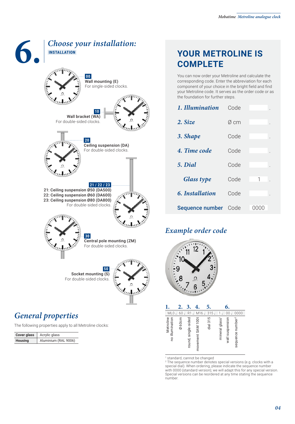

#### *General properties*

The following properties apply to all Metroline clocks:

| Cover glass    | Acrylic glass        |
|----------------|----------------------|
| <b>Housing</b> | Aluminium (RAL 9006) |

#### **YOUR METROLINE IS COMPLETE**

You can now order your Metroline and calculate the corresponding code. Enter the abbreviation for each component of your choice in the bright field and find your Metroline code. It serves as the order code or as the foundation for further steps.

| 1. Illumination   | Code |                 |
|-------------------|------|-----------------|
| 2. Size           | Ø cm |                 |
| 3. Shape          | Code |                 |
| 4. Time code      | Code |                 |
| 5. Dial           | Code |                 |
| <b>Glass type</b> | Code | 1               |
| 6. Installation   | Code |                 |
| Sequence number   | Code | ( ) ( ) ( ) ( ) |

#### *Example order code*



|                              | $\mathbf{2}$ |                     |                   | 5.       |                            | 6.              |                              |
|------------------------------|--------------|---------------------|-------------------|----------|----------------------------|-----------------|------------------------------|
| ML <sub>0</sub>              | 60           | R1                  | M16.              | 315.     |                            | 00              | 0000                         |
| Metroline<br>no illumination | Ø60cm        | round, single-sided | movement SAM 100t | dial 315 | mineral glass <sup>1</sup> | wall suspension | sequence number <sup>2</sup> |

1 standard, cannot be changed

2 The sequence number denotes special versions (e.g. clocks with a special dial). When ordering, please indicate the sequence number with 0000 (standard version); we will adapt this for any special version. Special versions can be reordered at any time stating the sequence number.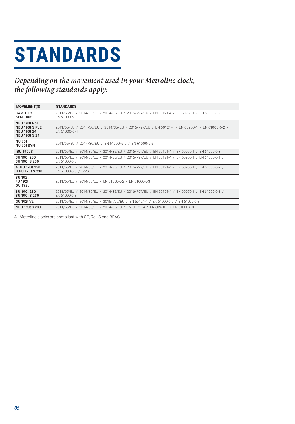# **STANDARDS**

#### Depending on the movement used in your Metroline clock, the following standards apply:

| <b>MOVEMENT(S)</b>                                                           | <b>STANDARDS</b>                                                                                                     |
|------------------------------------------------------------------------------|----------------------------------------------------------------------------------------------------------------------|
| <b>SAM 100t</b><br><b>SEM 100t</b>                                           | 2011/65/EU / 2014/30/EU / 2014/35/EU / 2016/797/EU / EN 50121-4 / EN 60950-1 / EN 61000-6-2 /<br>EN 61000-6-3        |
| NBU 190t PoE<br>NBU 190t S PoE<br><b>NBU 190t 24</b><br><b>NBU 190t S 24</b> | 2011/65/EU / 2014/30/EU / 2014/35/EU / 2016/797/EU / EN 50121-4 / EN 60950-1 / EN 61000-6-2 /<br>EN 61000-6-4        |
| <b>NU 90t</b><br>NU 90t SYN                                                  | 2011/65/EU / 2014/30/EU / EN 61000-6-2 / EN 61000-6-3                                                                |
| <b>IBU 190t S</b>                                                            | 2011/65/EU / 2014/30/EU / 2014/35/EU / 2016/797/EU / EN 50121-4 / EN 60950-1 / EN 61000-6-3                          |
| SU 190t 230<br>SU 190t S 230                                                 | 2011/65/EU / 2014/30/EU / 2014/35/EU / 2016/797/EU / EN 50121-4 / EN 60950-1 / EN 61000-6-1 /<br>EN 61000-6-3        |
| ATBU 190t 230<br><b>ITBU 190t S 230</b>                                      | 2011/65/EU / 2014/30/EU / 2014/35/EU / 2016/797/EU / EN 50121-4 / EN 60950-1 / EN 61000-6-2 /<br>EN 61000-6-3 / IPPS |
| <b>BU 192t</b><br><b>FU 192t</b><br>OU 192t                                  | 2011/65/EU / 2014/30/EU / EN 61000-6-2 / EN 61000-6-3                                                                |
| BU 190t 230<br><b>BU 190t S 230</b>                                          | 2011/65/EU / 2014/30/EU / 2014/35/EU / 2016/797/EU / EN 50121-4 / EN 60950-1 / EN 61000-6-1 /<br>EN 61000-6-3        |
| <b>GU 192t V2</b>                                                            | 2011/65/EU / 2014/30/EU / 2016/797/EU / EN 50121-4 / EN 61000-6-2 / EN 61000-6-3                                     |
| <b>MLU 190t S 230</b>                                                        | 2011/65/EU / 2014/30/EU / 2014/35/EU / EN 50121-4 / EN 60950-1 / EN 61000-6-3                                        |

All Metroline clocks are compliant with CE, RoHS and REACH.